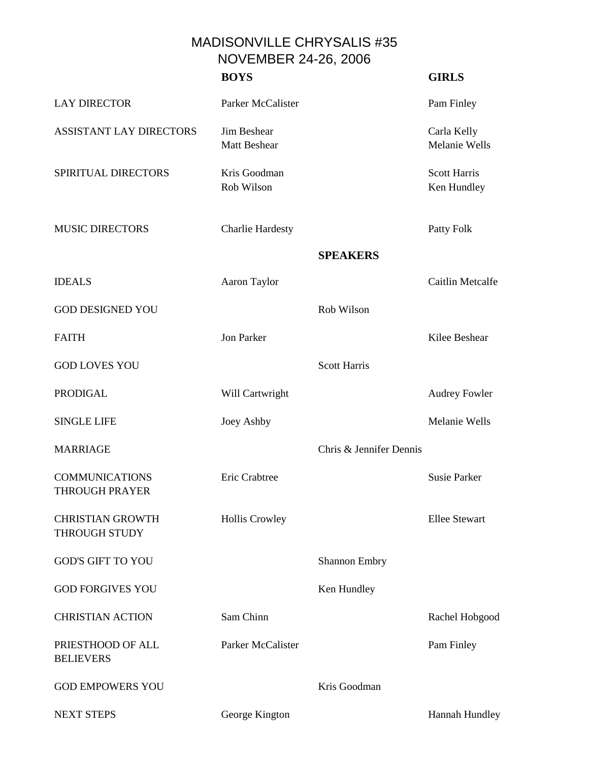MADISONVILLE CHRYSALIS #35 NOVEMBER 24-26, 2006

|                                                | <b>BOYS</b>                        |                         | <b>GIRLS</b>                       |
|------------------------------------------------|------------------------------------|-------------------------|------------------------------------|
| <b>LAY DIRECTOR</b>                            | Parker McCalister                  |                         | Pam Finley                         |
| <b>ASSISTANT LAY DIRECTORS</b>                 | Jim Beshear<br><b>Matt Beshear</b> |                         | Carla Kelly<br>Melanie Wells       |
| SPIRITUAL DIRECTORS                            | Kris Goodman<br>Rob Wilson         |                         | <b>Scott Harris</b><br>Ken Hundley |
| <b>MUSIC DIRECTORS</b>                         | <b>Charlie Hardesty</b>            |                         | Patty Folk                         |
|                                                |                                    | <b>SPEAKERS</b>         |                                    |
| <b>IDEALS</b>                                  | Aaron Taylor                       |                         | Caitlin Metcalfe                   |
| <b>GOD DESIGNED YOU</b>                        |                                    | Rob Wilson              |                                    |
| <b>FAITH</b>                                   | <b>Jon Parker</b>                  |                         | Kilee Beshear                      |
| <b>GOD LOVES YOU</b>                           |                                    | <b>Scott Harris</b>     |                                    |
| <b>PRODIGAL</b>                                | Will Cartwright                    |                         | <b>Audrey Fowler</b>               |
| <b>SINGLE LIFE</b>                             | Joey Ashby                         |                         | Melanie Wells                      |
| <b>MARRIAGE</b>                                |                                    | Chris & Jennifer Dennis |                                    |
| <b>COMMUNICATIONS</b><br><b>THROUGH PRAYER</b> | Eric Crabtree                      |                         | <b>Susie Parker</b>                |
| <b>CHRISTIAN GROWTH</b><br>THROUGH STUDY       | <b>Hollis Crowley</b>              |                         | <b>Ellee Stewart</b>               |
| <b>GOD'S GIFT TO YOU</b>                       |                                    | <b>Shannon Embry</b>    |                                    |
| <b>GOD FORGIVES YOU</b>                        |                                    | Ken Hundley             |                                    |
| <b>CHRISTIAN ACTION</b>                        | Sam Chinn                          |                         | Rachel Hobgood                     |
| PRIESTHOOD OF ALL<br><b>BELIEVERS</b>          | Parker McCalister                  |                         | Pam Finley                         |
| <b>GOD EMPOWERS YOU</b>                        |                                    | Kris Goodman            |                                    |
|                                                |                                    |                         |                                    |

NEXT STEPS George Kington Hannah Hundley